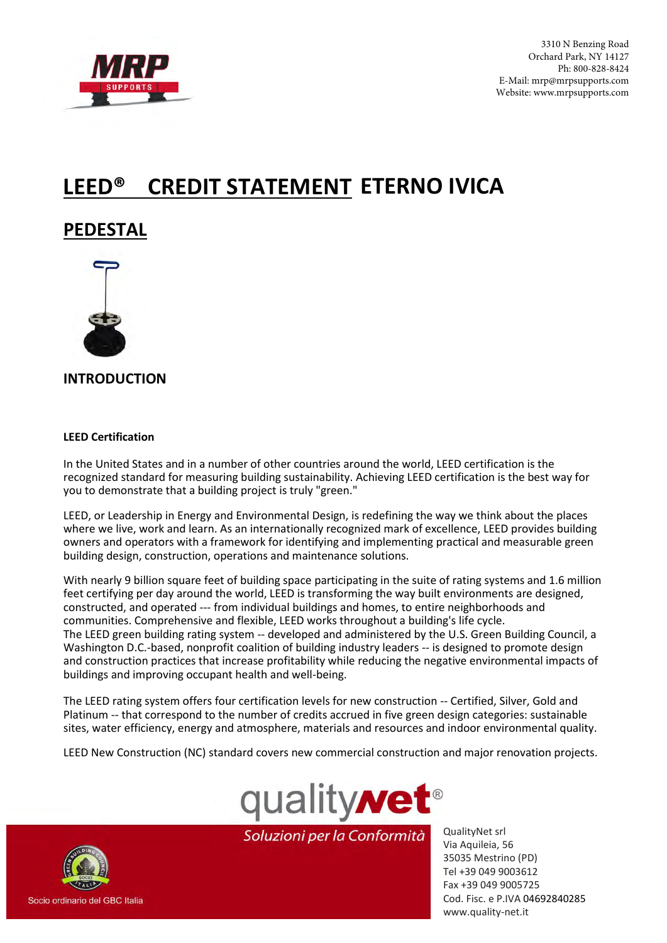

3310 N Benzing Road Orchard Park, NY 14127 Ph: 800-828-8424 E-Mail: mrp@mrpsupports.com Website: www.mrpsupports.com

# **LEED® CREDIT STATEMENT ETERNO IVICA**

# **PEDESTAL**



**INTRODUCTION** 

#### **LEED Certification**

In the United States and in a number of other countries around the world, LEED certification is the recognized standard for measuring building sustainability. Achieving LEED certification is the best way for you to demonstrate that a building project is truly "green."

LEED, or Leadership in Energy and Environmental Design, is redefining the way we think about the places where we live, work and learn. As an internationally recognized mark of excellence, LEED provides building owners and operators with a framework for identifying and implementing practical and measurable green building design, construction, operations and maintenance solutions.

With nearly 9 billion square feet of building space participating in the suite of rating systems and 1.6 million feet certifying per day around the world, LEED is transforming the way built environments are designed, constructed, and operated --- from individual buildings and homes, to entire neighborhoods and communities. Comprehensive and flexible, LEED works throughout a building's life cycle. The LEED green building rating system -- developed and administered by the U.S. Green Building Council, a Washington D.C.-based, nonprofit coalition of building industry leaders -- is designed to promote design and construction practices that increase profitability while reducing the negative environmental impacts of buildings and improving occupant health and well-being.

The LEED rating system offers four certification levels for new construction -- Certified, Silver, Gold and Platinum -- that correspond to the number of credits accrued in five green design categories: sustainable sites, water efficiency, energy and atmosphere, materials and resources and indoor environmental quality.

LEED New Construction (NC) standard covers new commercial construction and major renovation projects.



Soluzioni per la Conformità

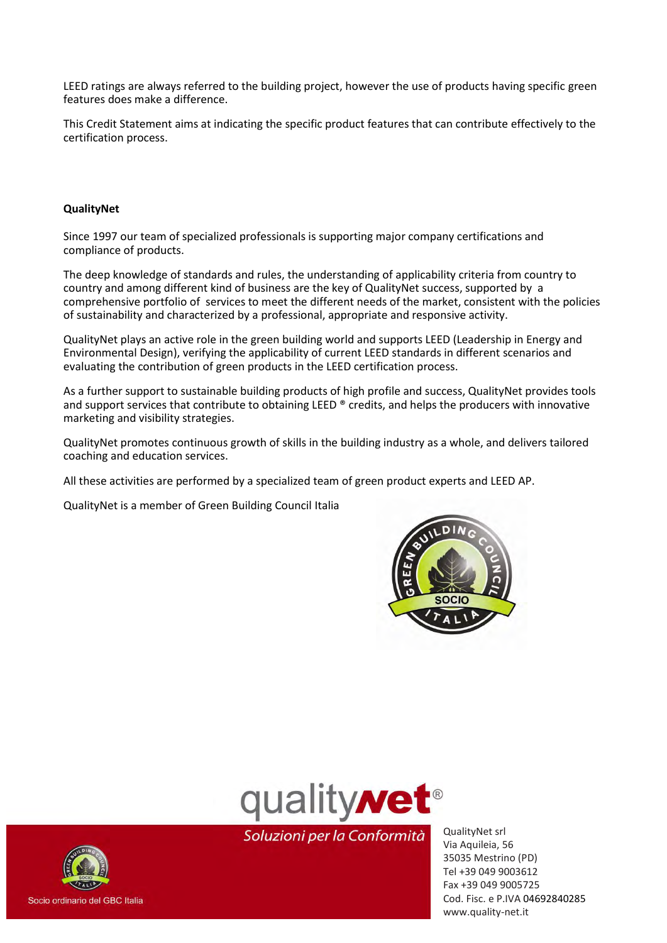LEED ratings are always referred to the building project, however the use of products having specific green features does make a difference.

This Credit Statement aims at indicating the specific product features that can contribute effectively to the certification process.

#### **QualityNet**

Since 1997 our team of specialized professionals is supporting major company certifications and compliance of products.

The deep knowledge of standards and rules, the understanding of applicability criteria from country to country and among different kind of business are the key of QualityNet success, supported by a comprehensive portfolio of services to meet the different needs of the market, consistent with the policies of sustainability and characterized by a professional, appropriate and responsive activity.

QualityNet plays an active role in the green building world and supports LEED (Leadership in Energy and Environmental Design), verifying the applicability of current LEED standards in different scenarios and evaluating the contribution of green products in the LEED certification process.

As a further support to sustainable building products of high profile and success, QualityNet provides tools and support services that contribute to obtaining LEED ® credits, and helps the producers with innovative marketing and visibility strategies.

QualityNet promotes continuous growth of skills in the building industry as a whole, and delivers tailored coaching and education services.

All these activities are performed by a specialized team of green product experts and LEED AP.

QualityNet is a member of Green Building Council Italia





Soluzioni per la Conformità

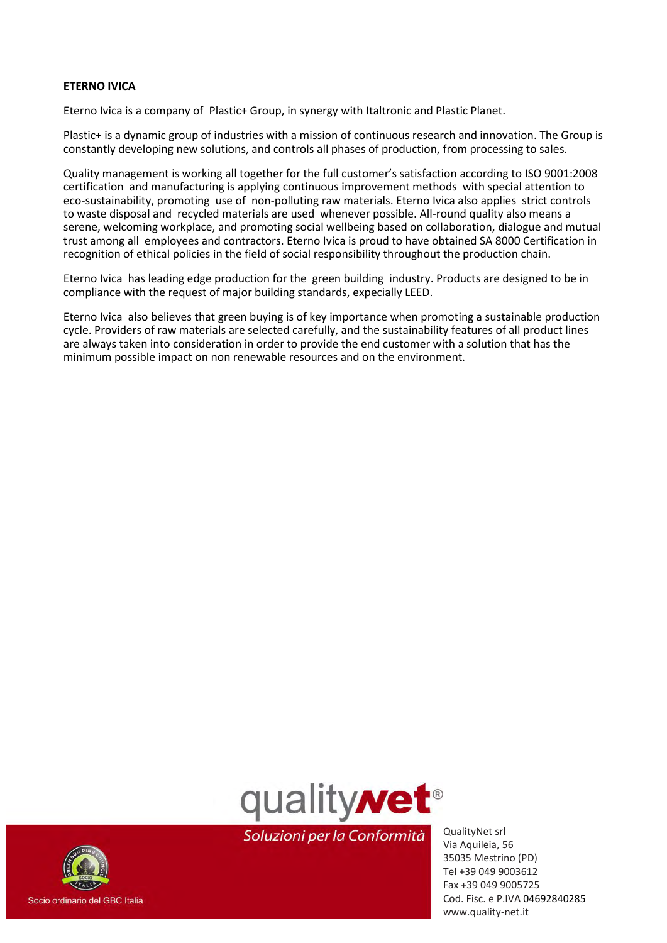#### **ETERNO IVICA**

Eterno Ivica is a company of Plastic+ Group, in synergy with Italtronic and Plastic Planet.

Plastic+ is a dynamic group of industries with a mission of continuous research and innovation. The Group is constantly developing new solutions, and controls all phases of production, from processing to sales.

Quality management is working all together for the full customer's satisfaction according to ISO 9001:2008 certification and manufacturing is applying continuous improvement methods with special attention to eco-sustainability, promoting use of non-polluting raw materials. Eterno Ivica also applies strict controls to waste disposal and recycled materials are used whenever possible. All-round quality also means a serene, welcoming workplace, and promoting social wellbeing based on collaboration, dialogue and mutual trust among all employees and contractors. Eterno Ivica is proud to have obtained SA 8000 Certification in recognition of ethical policies in the field of social responsibility throughout the production chain.

Eterno Ivica has leading edge production for the green building industry. Products are designed to be in compliance with the request of major building standards, expecially LEED.

Eterno Ivica also believes that green buying is of key importance when promoting a sustainable production cycle. Providers of raw materials are selected carefully, and the sustainability features of all product lines are always taken into consideration in order to provide the end customer with a solution that has the minimum possible impact on non renewable resources and on the environment.



Socio ordinario del GBC Italia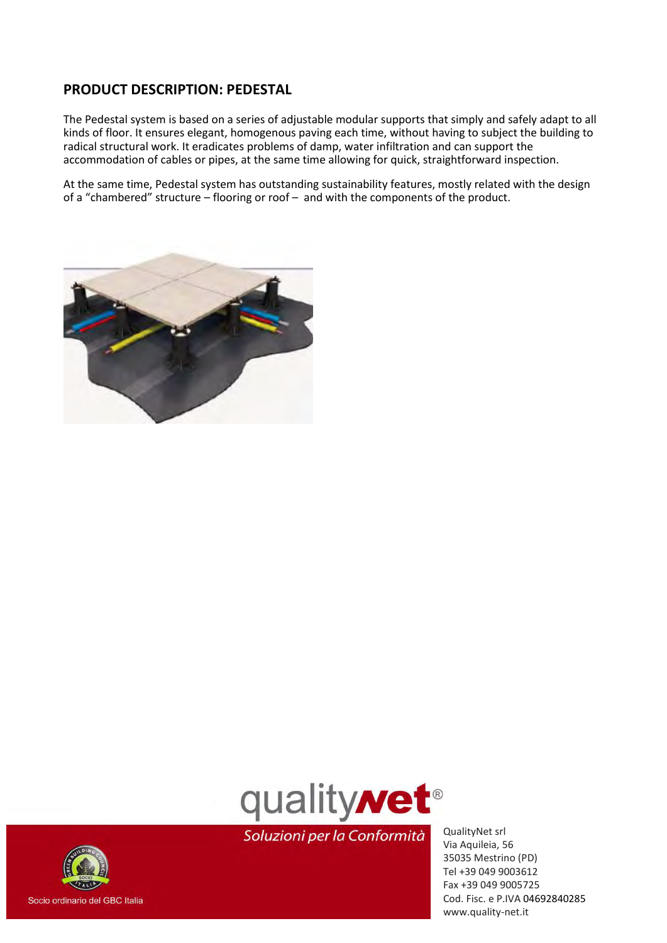### **PRODUCT DESCRIPTION: PEDESTAL**

The Pedestal system is based on a series of adjustable modular supports that simply and safely adapt to all kinds of floor. It ensures elegant, homogenous paving each time, without having to subject the building to radical structural work. It eradicates problems of damp, water infiltration and can support the accommodation of cables or pipes, at the same time allowing for quick, straightforward inspection.

At the same time, Pedestal system has outstanding sustainability features, mostly related with the design of a "chambered" structure – flooring or roof – and with the components of the product.





Soluzioni per la Conformità

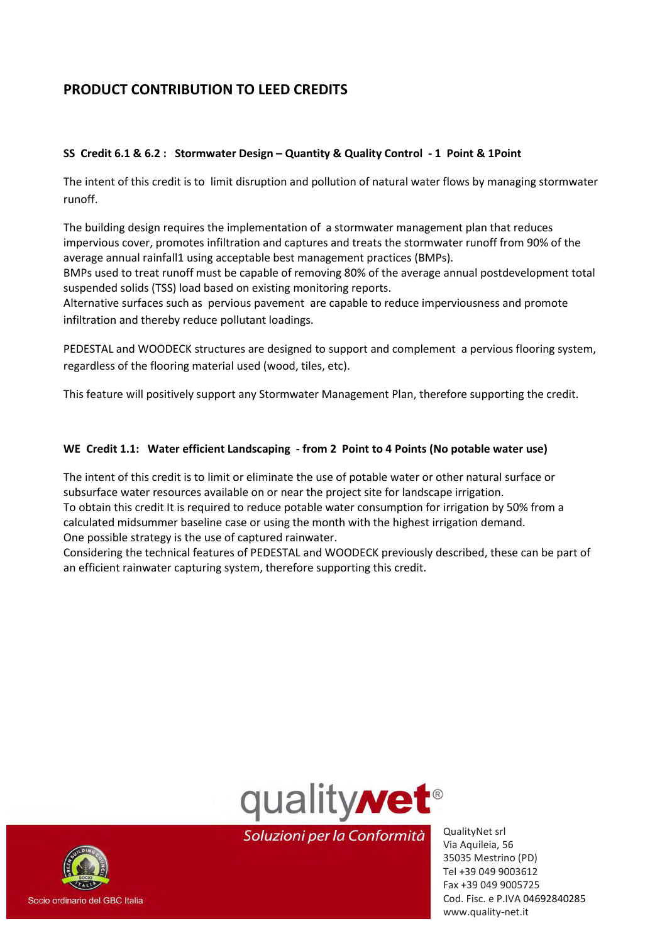# **PRODUCT CONTRIBUTION TO LEED CREDITS**

#### **SS Credit 6.1 & 6.2 : Stormwater Design – Quantity & Quality Control - 1 Point & 1Point**

The intent of this credit is to limit disruption and pollution of natural water flows by managing stormwater runoff.

The building design requires the implementation of a stormwater management plan that reduces impervious cover, promotes infiltration and captures and treats the stormwater runoff from 90% of the average annual rainfall1 using acceptable best management practices (BMPs).

BMPs used to treat runoff must be capable of removing 80% of the average annual postdevelopment total suspended solids (TSS) load based on existing monitoring reports.

Alternative surfaces such as pervious pavement are capable to reduce imperviousness and promote infiltration and thereby reduce pollutant loadings.

PEDESTAL and WOODECK structures are designed to support and complement a pervious flooring system, regardless of the flooring material used (wood, tiles, etc).

This feature will positively support any Stormwater Management Plan, therefore supporting the credit.

#### **WE Credit 1.1: Water efficient Landscaping - from 2 Point to 4 Points (No potable water use)**

The intent of this credit is to limit or eliminate the use of potable water or other natural surface or subsurface water resources available on or near the project site for landscape irrigation. To obtain this credit It is required to reduce potable water consumption for irrigation by 50% from a calculated midsummer baseline case or using the month with the highest irrigation demand. One possible strategy is the use of captured rainwater.

Considering the technical features of PEDESTAL and WOODECK previously described, these can be part of an efficient rainwater capturing system, therefore supporting this credit.



Soluzioni per la Conformità

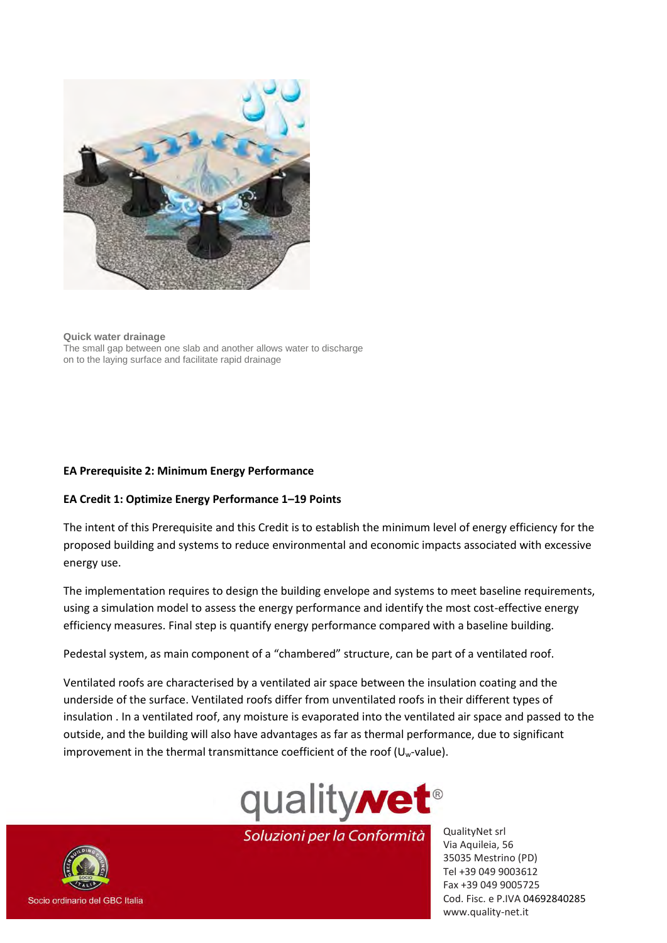

**Quick water drainage**  The small gap between one slab and another allows water to discharge on to the laying surface and facilitate rapid drainage

#### **EA Prerequisite 2: Minimum Energy Performance**

#### **EA Credit 1: Optimize Energy Performance 1–19 Points**

The intent of this Prerequisite and this Credit is to establish the minimum level of energy efficiency for the proposed building and systems to reduce environmental and economic impacts associated with excessive energy use.

The implementation requires to design the building envelope and systems to meet baseline requirements, using a simulation model to assess the energy performance and identify the most cost-effective energy efficiency measures. Final step is quantify energy performance compared with a baseline building.

Pedestal system, as main component of a "chambered" structure, can be part of a ventilated roof.

Ventilated roofs are characterised by a ventilated air space between the insulation coating and the underside of the surface. Ventilated roofs differ from unventilated roofs in their different types of insulation . In a ventilated roof, any moisture is evaporated into the ventilated air space and passed to the outside, and the building will also have advantages as far as thermal performance, due to significant improvement in the thermal transmittance coefficient of the roof  $(U_w$ -value).



Soluzioni per la Conformità

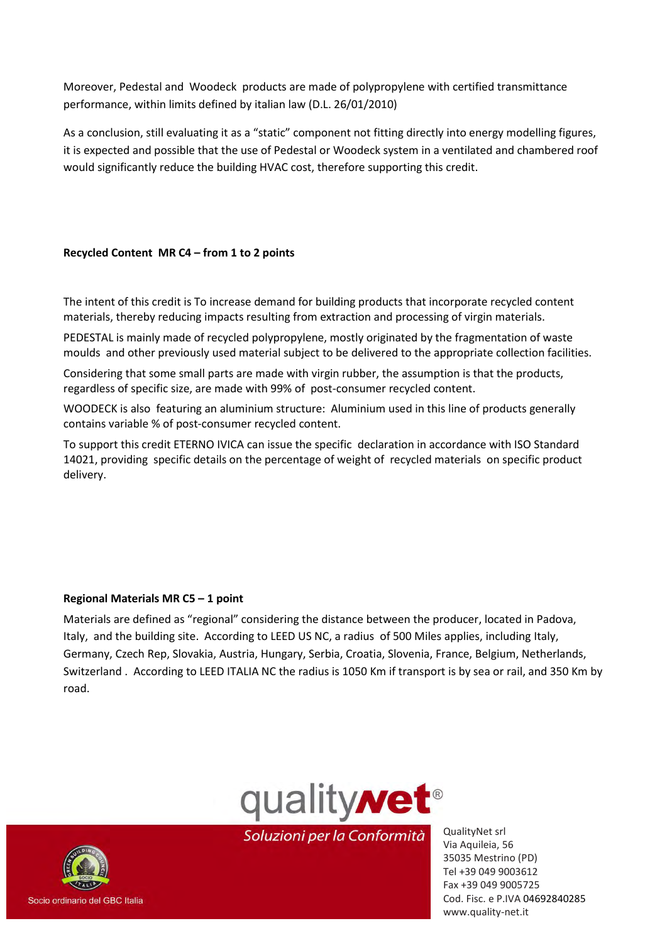Moreover, Pedestal and Woodeck products are made of polypropylene with certified transmittance performance, within limits defined by italian law (D.L. 26/01/2010)

As a conclusion, still evaluating it as a "static" component not fitting directly into energy modelling figures, it is expected and possible that the use of Pedestal or Woodeck system in a ventilated and chambered roof would significantly reduce the building HVAC cost, therefore supporting this credit.

#### **Recycled Content MR C4 – from 1 to 2 points**

The intent of this credit is To increase demand for building products that incorporate recycled content materials, thereby reducing impacts resulting from extraction and processing of virgin materials.

PEDESTAL is mainly made of recycled polypropylene, mostly originated by the fragmentation of waste moulds and other previously used material subject to be delivered to the appropriate collection facilities.

Considering that some small parts are made with virgin rubber, the assumption is that the products, regardless of specific size, are made with 99% of post-consumer recycled content.

WOODECK is also featuring an aluminium structure: Aluminium used in this line of products generally contains variable % of post-consumer recycled content.

To support this credit ETERNO IVICA can issue the specific declaration in accordance with ISO Standard 14021, providing specific details on the percentage of weight of recycled materials on specific product delivery.

#### **Regional Materials MR C5 – 1 point**

Materials are defined as "regional" considering the distance between the producer, located in Padova, Italy, and the building site. According to LEED US NC, a radius of 500 Miles applies, including Italy, Germany, Czech Rep, Slovakia, Austria, Hungary, Serbia, Croatia, Slovenia, France, Belgium, Netherlands, Switzerland . According to LEED ITALIA NC the radius is 1050 Km if transport is by sea or rail, and 350 Km by road.



Soluzioni per la Conformità

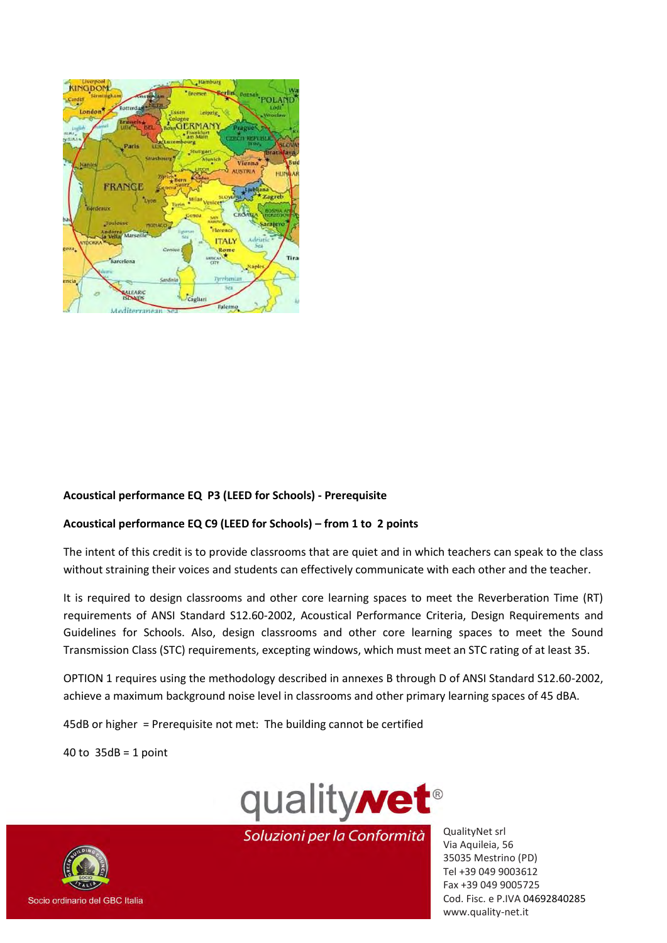

#### **Acoustical performance EQ P3 (LEED for Schools) - Prerequisite**

#### **Acoustical performance EQ C9 (LEED for Schools) – from 1 to 2 points**

The intent of this credit is to provide classrooms that are quiet and in which teachers can speak to the class without straining their voices and students can effectively communicate with each other and the teacher.

It is required to design classrooms and other core learning spaces to meet the Reverberation Time (RT) requirements of ANSI Standard S12.60-2002, Acoustical Performance Criteria, Design Requirements and Guidelines for Schools. Also, design classrooms and other core learning spaces to meet the Sound Transmission Class (STC) requirements, excepting windows, which must meet an STC rating of at least 35.

OPTION 1 requires using the methodology described in annexes B through D of ANSI Standard S12.60-2002, achieve a maximum background noise level in classrooms and other primary learning spaces of 45 dBA.

45dB or higher = Prerequisite not met: The building cannot be certified

40 to  $35dB = 1$  point



Soluzioni per la Conformità

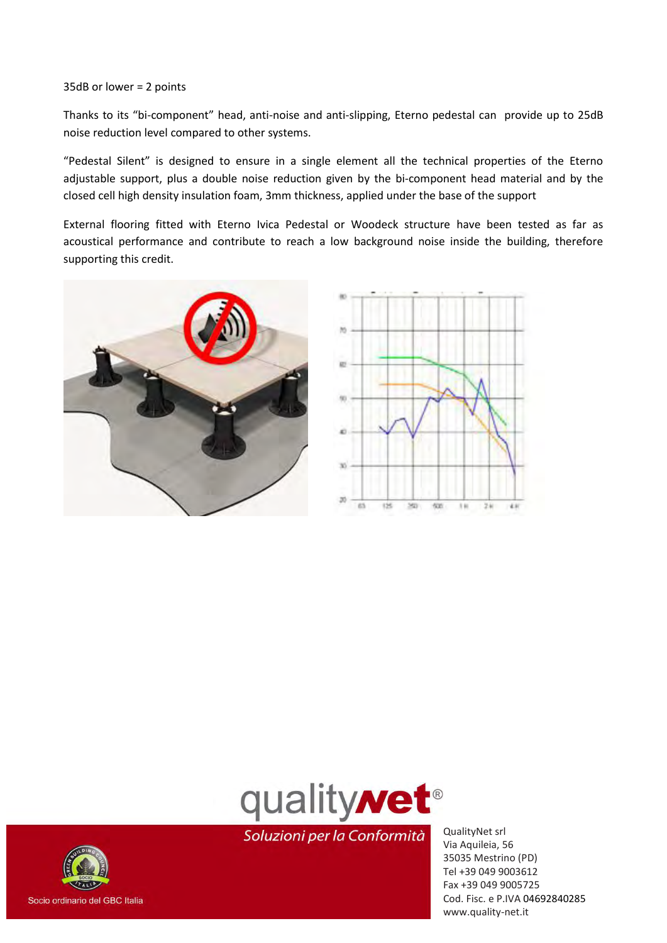#### 35dB or lower = 2 points

Thanks to its "bi-component" head, anti-noise and anti-slipping, Eterno pedestal can provide up to 25dB noise reduction level compared to other systems.

"Pedestal Silent" is designed to ensure in a single element all the technical properties of the Eterno adjustable support, plus a double noise reduction given by the bi-component head material and by the closed cell high density insulation foam, 3mm thickness, applied under the base of the support

External flooring fitted with Eterno Ivica Pedestal or Woodeck structure have been tested as far as acoustical performance and contribute to reach a low background noise inside the building, therefore supporting this credit.







Soluzioni per la Conformità